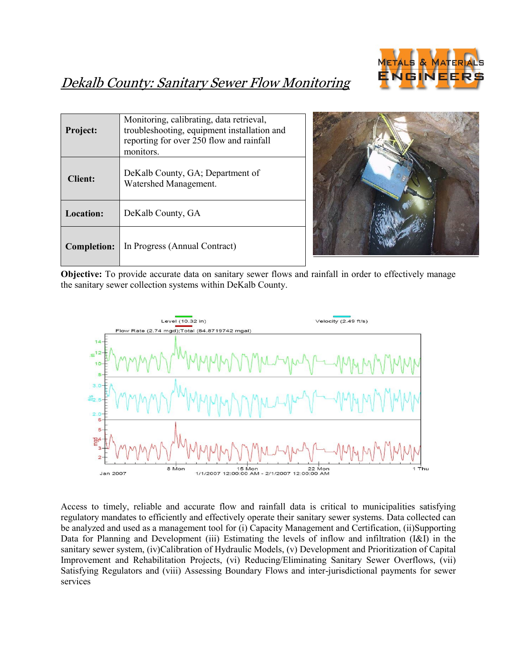

# Dekalb County: Sanitary Sewer Flow Monitoring

| Project:           | Monitoring, calibrating, data retrieval,<br>troubleshooting, equipment installation and<br>reporting for over 250 flow and rainfall<br>monitors. |
|--------------------|--------------------------------------------------------------------------------------------------------------------------------------------------|
| <b>Client:</b>     | DeKalb County, GA; Department of<br>Watershed Management.                                                                                        |
| <b>Location:</b>   | DeKalb County, GA                                                                                                                                |
| <b>Completion:</b> | In Progress (Annual Contract)                                                                                                                    |



**Objective:** To provide accurate data on sanitary sewer flows and rainfall in order to effectively manage the sanitary sewer collection systems within DeKalb County.



Access to timely, reliable and accurate flow and rainfall data is critical to municipalities satisfying regulatory mandates to efficiently and effectively operate their sanitary sewer systems. Data collected can be analyzed and used as a management tool for (i) Capacity Management and Certification, (ii)Supporting Data for Planning and Development (iii) Estimating the levels of inflow and infiltration (I&I) in the sanitary sewer system, (iv)Calibration of Hydraulic Models, (v) Development and Prioritization of Capital Improvement and Rehabilitation Projects, (vi) Reducing/Eliminating Sanitary Sewer Overflows, (vii) Satisfying Regulators and (viii) Assessing Boundary Flows and inter-jurisdictional payments for sewer services